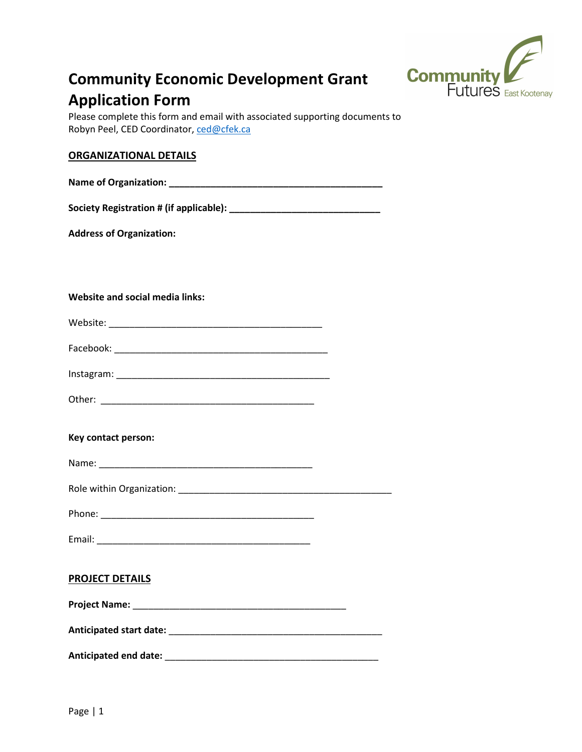

# **Community Economic Development Grant Application Form**

Please complete this form and email with associated supporting documents to Robyn Peel, CED Coordinator, [ced@cfek.ca](mailto:ced@cfek.ca)

## **ORGANIZATIONAL DETAILS**

**Society Registration # (if applicable): \_\_\_\_\_\_\_\_\_\_\_\_\_\_\_\_\_\_\_\_\_\_\_\_\_\_\_\_\_**

**Address of Organization:**

**Website and social media links:**

| Facebook: |  |
|-----------|--|
|           |  |

| Instagram: |  |
|------------|--|
|            |  |
|            |  |

| Other: |  |  |  |
|--------|--|--|--|
|        |  |  |  |

### **Key contact person:**

| Name: |
|-------|
|-------|

| Role within Organization: |  |
|---------------------------|--|
|---------------------------|--|

| Phone: |  |  |  |
|--------|--|--|--|
|        |  |  |  |

| Email:<br>____ |
|----------------|
|----------------|

## **PROJECT DETAILS**

**Project Name:** \_\_\_\_\_\_\_\_\_\_\_\_\_\_\_\_\_\_\_\_\_\_\_\_\_\_\_\_\_\_\_\_\_\_\_\_\_\_\_\_\_

**Anticipated start date:** \_\_\_\_\_\_\_\_\_\_\_\_\_\_\_\_\_\_\_\_\_\_\_\_\_\_\_\_\_\_\_\_\_\_\_\_\_\_\_\_\_

**Anticipated end date:** \_\_\_\_\_\_\_\_\_\_\_\_\_\_\_\_\_\_\_\_\_\_\_\_\_\_\_\_\_\_\_\_\_\_\_\_\_\_\_\_\_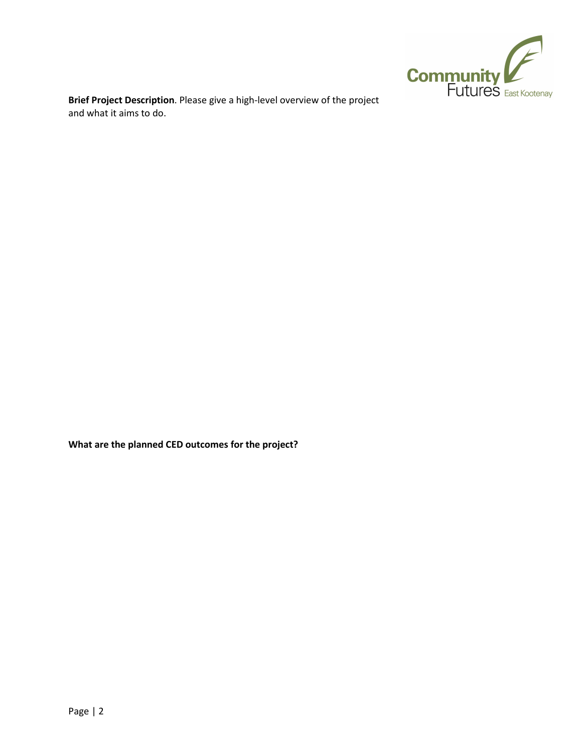

**Brief Project Description**. Please give a high-level overview of the project and what it aims to do.

**What are the planned CED outcomes for the project?**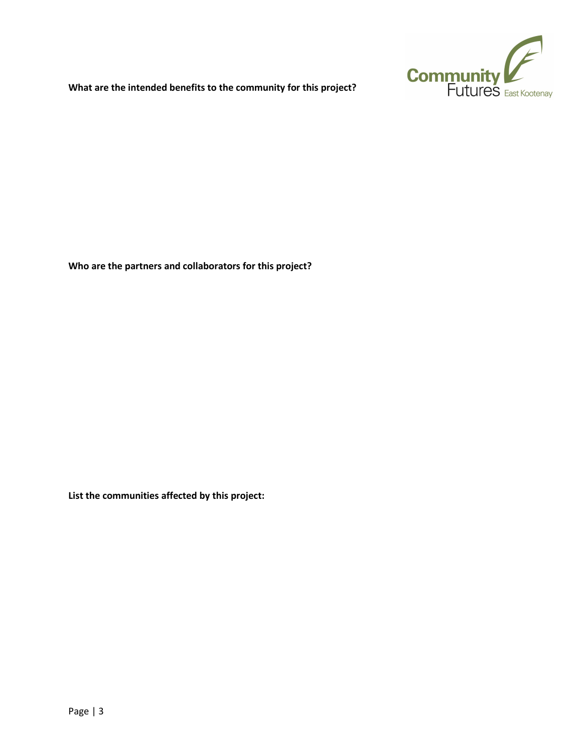

**What are the intended benefits to the community for this project?**

**Who are the partners and collaborators for this project?**

**List the communities affected by this project:**